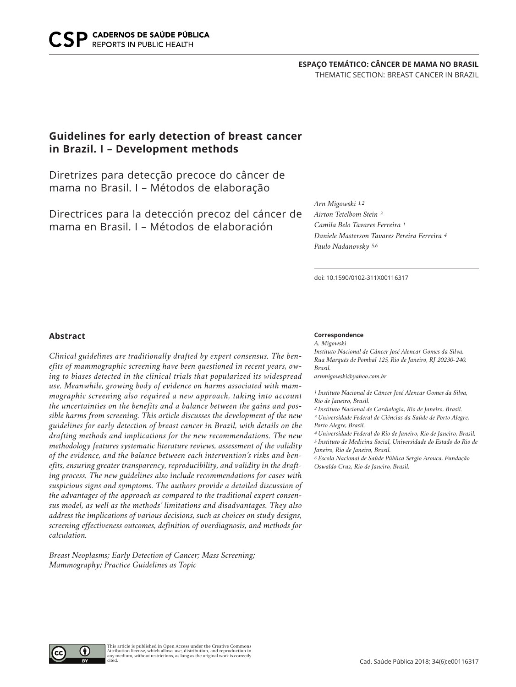### **ESPAÇO TEMÁTICO: CÂNCER DE MAMA NO BRASIL** THEMATIC SECTION: BREAST CANCER IN BRAZIL

# **Guidelines for early detection of breast cancer in Brazil. I – Development methods**

Diretrizes para detecção precoce do câncer de mama no Brasil. I – Métodos de elaboração

Directrices para la detección precoz del cáncer de mama en Brasil. I – Métodos de elaboración

*Arn Migowski 1,2 Airton Tetelbom Stein 3 Camila Belo Tavares Ferreira 1 Daniele Masterson Tavares Pereira Ferreira 4 Paulo Nadanovsky 5,6*

doi: 10.1590/0102-311X00116317

#### **Abstract**

*Clinical guidelines are traditionally drafted by expert consensus. The benefits of mammographic screening have been questioned in recent years, owing to biases detected in the clinical trials that popularized its widespread use. Meanwhile, growing body of evidence on harms associated with mammographic screening also required a new approach, taking into account the uncertainties on the benefits and a balance between the gains and possible harms from screening. This article discusses the development of the new guidelines for early detection of breast cancer in Brazil, with details on the drafting methods and implications for the new recommendations. The new methodology features systematic literature reviews, assessment of the validity of the evidence, and the balance between each intervention's risks and benefits, ensuring greater transparency, reproducibility, and validity in the drafting process. The new guidelines also include recommendations for cases with suspicious signs and symptoms. The authors provide a detailed discussion of the advantages of the approach as compared to the traditional expert consensus model, as well as the methods' limitations and disadvantages. They also address the implications of various decisions, such as choices on study designs, screening effectiveness outcomes, definition of overdiagnosis, and methods for calculation.*

*Breast Neoplasms; Early Detection of Cancer; Mass Screening; Mammography; Practice Guidelines as Topic*

#### **Correspondence**

*A. Migowski Instituto Nacional de Câncer José Alencar Gomes da Silva. Rua Marquês de Pombal 125, Rio de Janeiro, RJ 20230-240, Brasil.*

*arnmigowski@yahoo.com.br*

*1 Instituto Nacional de Câncer José Alencar Gomes da Silva, Rio de Janeiro, Brasil.*

*2 Instituto Nacional de Cardiologia, Rio de Janeiro, Brasil. 3 Universidade Federal de Ciências da Saúde de Porto Alegre, Porto Alegre, Brasil.*

*4 Universidade Federal do Rio de Janeiro, Rio de Janeiro, Brasil. 5 Instituto de Medicina Social, Universidade do Estado do Rio de Janeiro, Rio de Janeiro, Brasil.*

*6 Escola Nacional de Saúde Pública Sergio Arouca, Fundação Oswaldo Cruz, Rio de Janeiro, Brasil.*

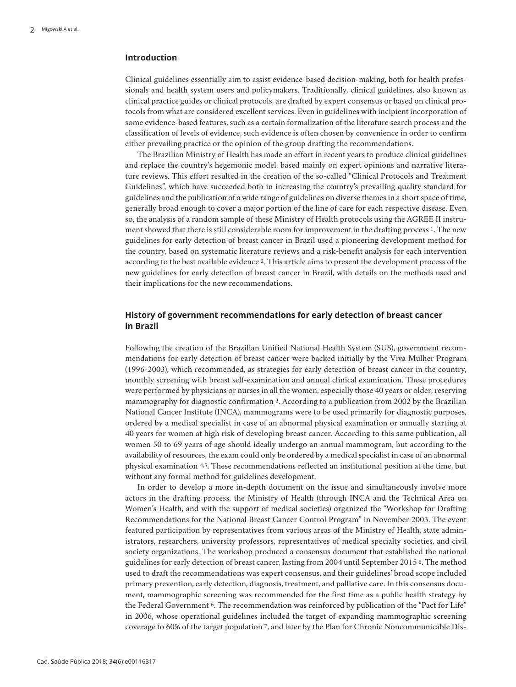## **Introduction**

Clinical guidelines essentially aim to assist evidence-based decision-making, both for health professionals and health system users and policymakers. Traditionally, clinical guidelines, also known as clinical practice guides or clinical protocols, are drafted by expert consensus or based on clinical protocols from what are considered excellent services. Even in guidelines with incipient incorporation of some evidence-based features, such as a certain formalization of the literature search process and the classification of levels of evidence, such evidence is often chosen by convenience in order to confirm either prevailing practice or the opinion of the group drafting the recommendations.

The Brazilian Ministry of Health has made an effort in recent years to produce clinical guidelines and replace the country's hegemonic model, based mainly on expert opinions and narrative literature reviews. This effort resulted in the creation of the so-called "Clinical Protocols and Treatment Guidelines", which have succeeded both in increasing the country's prevailing quality standard for guidelines and the publication of a wide range of guidelines on diverse themes in a short space of time, generally broad enough to cover a major portion of the line of care for each respective disease. Even so, the analysis of a random sample of these Ministry of Health protocols using the AGREE II instrument showed that there is still considerable room for improvement in the drafting process 1. The new guidelines for early detection of breast cancer in Brazil used a pioneering development method for the country, based on systematic literature reviews and a risk-benefit analysis for each intervention according to the best available evidence 2. This article aims to present the development process of the new guidelines for early detection of breast cancer in Brazil, with details on the methods used and their implications for the new recommendations.

### **History of government recommendations for early detection of breast cancer in Brazil**

Following the creation of the Brazilian Unified National Health System (SUS), government recommendations for early detection of breast cancer were backed initially by the Viva Mulher Program (1996-2003), which recommended, as strategies for early detection of breast cancer in the country, monthly screening with breast self-examination and annual clinical examination. These procedures were performed by physicians or nurses in all the women, especially those 40 years or older, reserving mammography for diagnostic confirmation 3. According to a publication from 2002 by the Brazilian National Cancer Institute (INCA), mammograms were to be used primarily for diagnostic purposes, ordered by a medical specialist in case of an abnormal physical examination or annually starting at 40 years for women at high risk of developing breast cancer. According to this same publication, all women 50 to 69 years of age should ideally undergo an annual mammogram, but according to the availability of resources, the exam could only be ordered by a medical specialist in case of an abnormal physical examination 4,5. These recommendations reflected an institutional position at the time, but without any formal method for guidelines development.

In order to develop a more in-depth document on the issue and simultaneously involve more actors in the drafting process, the Ministry of Health (through INCA and the Technical Area on Women's Health, and with the support of medical societies) organized the "Workshop for Drafting Recommendations for the National Breast Cancer Control Program" in November 2003. The event featured participation by representatives from various areas of the Ministry of Health, state administrators, researchers, university professors, representatives of medical specialty societies, and civil society organizations. The workshop produced a consensus document that established the national guidelines for early detection of breast cancer, lasting from 2004 until September 2015 6. The method used to draft the recommendations was expert consensus, and their guidelines' broad scope included primary prevention, early detection, diagnosis, treatment, and palliative care. In this consensus document, mammographic screening was recommended for the first time as a public health strategy by the Federal Government 6. The recommendation was reinforced by publication of the "Pact for Life" in 2006, whose operational guidelines included the target of expanding mammographic screening coverage to 60% of the target population 7, and later by the Plan for Chronic Noncommunicable Dis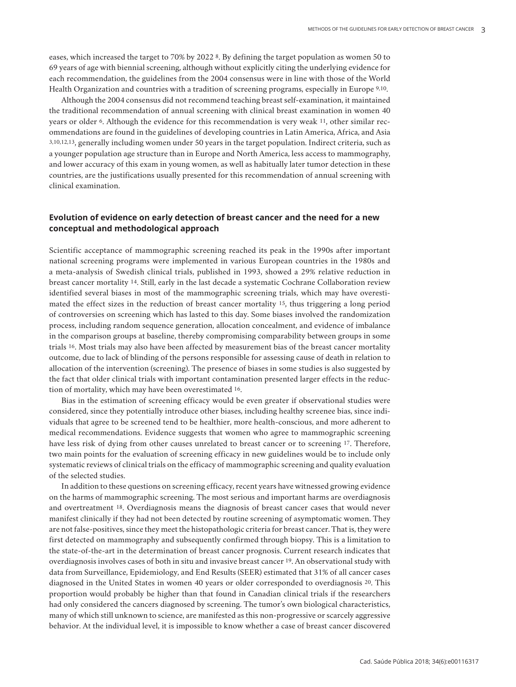eases, which increased the target to 70% by 2022 8. By defining the target population as women 50 to 69 years of age with biennial screening, although without explicitly citing the underlying evidence for each recommendation, the guidelines from the 2004 consensus were in line with those of the World Health Organization and countries with a tradition of screening programs, especially in Europe 9,10.

Although the 2004 consensus did not recommend teaching breast self-examination, it maintained the traditional recommendation of annual screening with clinical breast examination in women 40 years or older 6. Although the evidence for this recommendation is very weak 11, other similar recommendations are found in the guidelines of developing countries in Latin America, Africa, and Asia 3,10,12,13, generally including women under 50 years in the target population. Indirect criteria, such as a younger population age structure than in Europe and North America, less access to mammography, and lower accuracy of this exam in young women, as well as habitually later tumor detection in these countries, are the justifications usually presented for this recommendation of annual screening with clinical examination.

## **Evolution of evidence on early detection of breast cancer and the need for a new conceptual and methodological approach**

Scientific acceptance of mammographic screening reached its peak in the 1990s after important national screening programs were implemented in various European countries in the 1980s and a meta-analysis of Swedish clinical trials, published in 1993, showed a 29% relative reduction in breast cancer mortality 14. Still, early in the last decade a systematic Cochrane Collaboration review identified several biases in most of the mammographic screening trials, which may have overestimated the effect sizes in the reduction of breast cancer mortality 15, thus triggering a long period of controversies on screening which has lasted to this day. Some biases involved the randomization process, including random sequence generation, allocation concealment, and evidence of imbalance in the comparison groups at baseline, thereby compromising comparability between groups in some trials 16. Most trials may also have been affected by measurement bias of the breast cancer mortality outcome, due to lack of blinding of the persons responsible for assessing cause of death in relation to allocation of the intervention (screening). The presence of biases in some studies is also suggested by the fact that older clinical trials with important contamination presented larger effects in the reduction of mortality, which may have been overestimated 16.

Bias in the estimation of screening efficacy would be even greater if observational studies were considered, since they potentially introduce other biases, including healthy screenee bias, since individuals that agree to be screened tend to be healthier, more health-conscious, and more adherent to medical recommendations. Evidence suggests that women who agree to mammographic screening have less risk of dying from other causes unrelated to breast cancer or to screening 17. Therefore, two main points for the evaluation of screening efficacy in new guidelines would be to include only systematic reviews of clinical trials on the efficacy of mammographic screening and quality evaluation of the selected studies.

In addition to these questions on screening efficacy, recent years have witnessed growing evidence on the harms of mammographic screening. The most serious and important harms are overdiagnosis and overtreatment 18. Overdiagnosis means the diagnosis of breast cancer cases that would never manifest clinically if they had not been detected by routine screening of asymptomatic women. They are not false-positives, since they meet the histopathologic criteria for breast cancer. That is, they were first detected on mammography and subsequently confirmed through biopsy. This is a limitation to the state-of-the-art in the determination of breast cancer prognosis. Current research indicates that overdiagnosis involves cases of both in situ and invasive breast cancer 19. An observational study with data from Surveillance, Epidemiology, and End Results (SEER) estimated that 31% of all cancer cases diagnosed in the United States in women 40 years or older corresponded to overdiagnosis 20. This proportion would probably be higher than that found in Canadian clinical trials if the researchers had only considered the cancers diagnosed by screening. The tumor's own biological characteristics, many of which still unknown to science, are manifested as this non-progressive or scarcely aggressive behavior. At the individual level, it is impossible to know whether a case of breast cancer discovered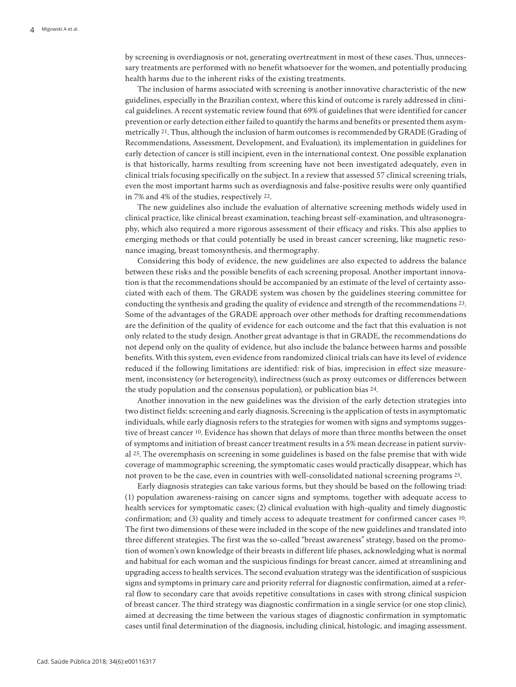by screening is overdiagnosis or not, generating overtreatment in most of these cases. Thus, unnecessary treatments are performed with no benefit whatsoever for the women, and potentially producing health harms due to the inherent risks of the existing treatments.

The inclusion of harms associated with screening is another innovative characteristic of the new guidelines, especially in the Brazilian context, where this kind of outcome is rarely addressed in clinical guidelines. A recent systematic review found that 69% of guidelines that were identified for cancer prevention or early detection either failed to quantify the harms and benefits or presented them asymmetrically 21. Thus, although the inclusion of harm outcomes is recommended by GRADE (Grading of Recommendations, Assessment, Development, and Evaluation), its implementation in guidelines for early detection of cancer is still incipient, even in the international context. One possible explanation is that historically, harms resulting from screening have not been investigated adequately, even in clinical trials focusing specifically on the subject. In a review that assessed 57 clinical screening trials, even the most important harms such as overdiagnosis and false-positive results were only quantified in 7% and 4% of the studies, respectively 22.

The new guidelines also include the evaluation of alternative screening methods widely used in clinical practice, like clinical breast examination, teaching breast self-examination, and ultrasonography, which also required a more rigorous assessment of their efficacy and risks. This also applies to emerging methods or that could potentially be used in breast cancer screening, like magnetic resonance imaging, breast tomosynthesis, and thermography.

Considering this body of evidence, the new guidelines are also expected to address the balance between these risks and the possible benefits of each screening proposal. Another important innovation is that the recommendations should be accompanied by an estimate of the level of certainty associated with each of them. The GRADE system was chosen by the guidelines steering committee for conducting the synthesis and grading the quality of evidence and strength of the recommendations 23. Some of the advantages of the GRADE approach over other methods for drafting recommendations are the definition of the quality of evidence for each outcome and the fact that this evaluation is not only related to the study design. Another great advantage is that in GRADE, the recommendations do not depend only on the quality of evidence, but also include the balance between harms and possible benefits. With this system, even evidence from randomized clinical trials can have its level of evidence reduced if the following limitations are identified: risk of bias, imprecision in effect size measurement, inconsistency (or heterogeneity), indirectness (such as proxy outcomes or differences between the study population and the consensus population), or publication bias 24.

Another innovation in the new guidelines was the division of the early detection strategies into two distinct fields: screening and early diagnosis. Screening is the application of tests in asymptomatic individuals, while early diagnosis refers to the strategies for women with signs and symptoms suggestive of breast cancer 10. Evidence has shown that delays of more than three months between the onset of symptoms and initiation of breast cancer treatment results in a 5% mean decrease in patient survival 25. The overemphasis on screening in some guidelines is based on the false premise that with wide coverage of mammographic screening, the symptomatic cases would practically disappear, which has not proven to be the case, even in countries with well-consolidated national screening programs 25.

Early diagnosis strategies can take various forms, but they should be based on the following triad: (1) population awareness-raising on cancer signs and symptoms, together with adequate access to health services for symptomatic cases; (2) clinical evaluation with high-quality and timely diagnostic confirmation; and (3) quality and timely access to adequate treatment for confirmed cancer cases 10. The first two dimensions of these were included in the scope of the new guidelines and translated into three different strategies. The first was the so-called "breast awareness" strategy, based on the promotion of women's own knowledge of their breasts in different life phases, acknowledging what is normal and habitual for each woman and the suspicious findings for breast cancer, aimed at streamlining and upgrading access to health services. The second evaluation strategy was the identification of suspicious signs and symptoms in primary care and priority referral for diagnostic confirmation, aimed at a referral flow to secondary care that avoids repetitive consultations in cases with strong clinical suspicion of breast cancer. The third strategy was diagnostic confirmation in a single service (or one stop clinic), aimed at decreasing the time between the various stages of diagnostic confirmation in symptomatic cases until final determination of the diagnosis, including clinical, histologic, and imaging assessment.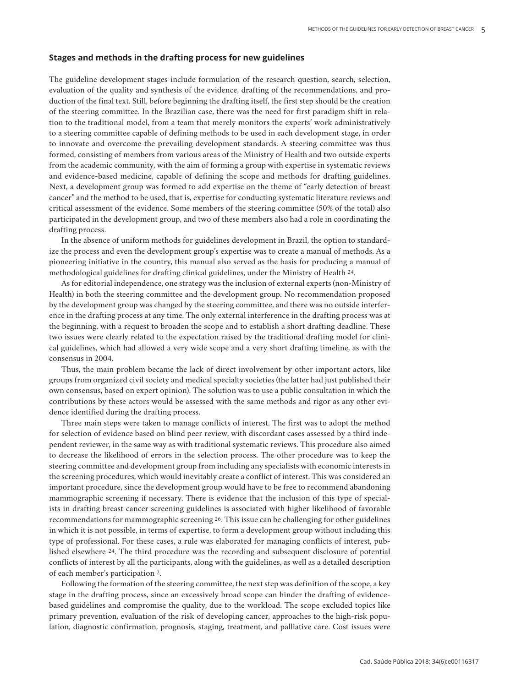### **Stages and methods in the drafting process for new guidelines**

The guideline development stages include formulation of the research question, search, selection, evaluation of the quality and synthesis of the evidence, drafting of the recommendations, and production of the final text. Still, before beginning the drafting itself, the first step should be the creation of the steering committee. In the Brazilian case, there was the need for first paradigm shift in relation to the traditional model, from a team that merely monitors the experts' work administratively to a steering committee capable of defining methods to be used in each development stage, in order to innovate and overcome the prevailing development standards. A steering committee was thus formed, consisting of members from various areas of the Ministry of Health and two outside experts from the academic community, with the aim of forming a group with expertise in systematic reviews and evidence-based medicine, capable of defining the scope and methods for drafting guidelines. Next, a development group was formed to add expertise on the theme of "early detection of breast cancer" and the method to be used, that is, expertise for conducting systematic literature reviews and critical assessment of the evidence. Some members of the steering committee (50% of the total) also participated in the development group, and two of these members also had a role in coordinating the drafting process.

In the absence of uniform methods for guidelines development in Brazil, the option to standardize the process and even the development group's expertise was to create a manual of methods. As a pioneering initiative in the country, this manual also served as the basis for producing a manual of methodological guidelines for drafting clinical guidelines, under the Ministry of Health 24.

As for editorial independence, one strategy was the inclusion of external experts (non-Ministry of Health) in both the steering committee and the development group. No recommendation proposed by the development group was changed by the steering committee, and there was no outside interference in the drafting process at any time. The only external interference in the drafting process was at the beginning, with a request to broaden the scope and to establish a short drafting deadline. These two issues were clearly related to the expectation raised by the traditional drafting model for clinical guidelines, which had allowed a very wide scope and a very short drafting timeline, as with the consensus in 2004.

Thus, the main problem became the lack of direct involvement by other important actors, like groups from organized civil society and medical specialty societies (the latter had just published their own consensus, based on expert opinion). The solution was to use a public consultation in which the contributions by these actors would be assessed with the same methods and rigor as any other evidence identified during the drafting process.

Three main steps were taken to manage conflicts of interest. The first was to adopt the method for selection of evidence based on blind peer review, with discordant cases assessed by a third independent reviewer, in the same way as with traditional systematic reviews. This procedure also aimed to decrease the likelihood of errors in the selection process. The other procedure was to keep the steering committee and development group from including any specialists with economic interests in the screening procedures, which would inevitably create a conflict of interest. This was considered an important procedure, since the development group would have to be free to recommend abandoning mammographic screening if necessary. There is evidence that the inclusion of this type of specialists in drafting breast cancer screening guidelines is associated with higher likelihood of favorable recommendations for mammographic screening 26. This issue can be challenging for other guidelines in which it is not possible, in terms of expertise, to form a development group without including this type of professional. For these cases, a rule was elaborated for managing conflicts of interest, published elsewhere 24. The third procedure was the recording and subsequent disclosure of potential conflicts of interest by all the participants, along with the guidelines, as well as a detailed description of each member's participation 2.

Following the formation of the steering committee, the next step was definition of the scope, a key stage in the drafting process, since an excessively broad scope can hinder the drafting of evidencebased guidelines and compromise the quality, due to the workload. The scope excluded topics like primary prevention, evaluation of the risk of developing cancer, approaches to the high-risk population, diagnostic confirmation, prognosis, staging, treatment, and palliative care. Cost issues were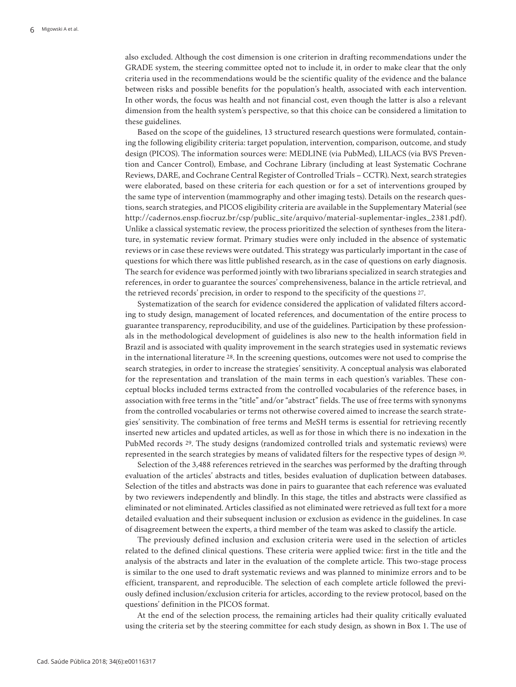also excluded. Although the cost dimension is one criterion in drafting recommendations under the GRADE system, the steering committee opted not to include it, in order to make clear that the only criteria used in the recommendations would be the scientific quality of the evidence and the balance between risks and possible benefits for the population's health, associated with each intervention. In other words, the focus was health and not financial cost, even though the latter is also a relevant dimension from the health system's perspective, so that this choice can be considered a limitation to these guidelines.

Based on the scope of the guidelines, 13 structured research questions were formulated, containing the following eligibility criteria: target population, intervention, comparison, outcome, and study design (PICOS). The information sources were: MEDLINE (via PubMed), LILACS (via BVS Prevention and Cancer Control), Embase, and Cochrane Library (including at least Systematic Cochrane Reviews, DARE, and Cochrane Central Register of Controlled Trials – CCTR). Next, search strategies were elaborated, based on these criteria for each question or for a set of interventions grouped by the same type of intervention (mammography and other imaging tests). Details on the research questions, search strategies, and PICOS eligibility criteria are available in the Supplementary Material (see http://cadernos.ensp.fiocruz.br/csp/public\_site/arquivo/material-suplementar-ingles\_2381.pdf). Unlike a classical systematic review, the process prioritized the selection of syntheses from the literature, in systematic review format. Primary studies were only included in the absence of systematic reviews or in case these reviews were outdated. This strategy was particularly important in the case of questions for which there was little published research, as in the case of questions on early diagnosis. The search for evidence was performed jointly with two librarians specialized in search strategies and references, in order to guarantee the sources' comprehensiveness, balance in the article retrieval, and the retrieved records' precision, in order to respond to the specificity of the questions 27.

Systematization of the search for evidence considered the application of validated filters according to study design, management of located references, and documentation of the entire process to guarantee transparency, reproducibility, and use of the guidelines. Participation by these professionals in the methodological development of guidelines is also new to the health information field in Brazil and is associated with quality improvement in the search strategies used in systematic reviews in the international literature 28. In the screening questions, outcomes were not used to comprise the search strategies, in order to increase the strategies' sensitivity. A conceptual analysis was elaborated for the representation and translation of the main terms in each question's variables. These conceptual blocks included terms extracted from the controlled vocabularies of the reference bases, in association with free terms in the "title" and/or "abstract" fields. The use of free terms with synonyms from the controlled vocabularies or terms not otherwise covered aimed to increase the search strategies' sensitivity. The combination of free terms and MeSH terms is essential for retrieving recently inserted new articles and updated articles, as well as for those in which there is no indexation in the PubMed records 29. The study designs (randomized controlled trials and systematic reviews) were represented in the search strategies by means of validated filters for the respective types of design 30.

Selection of the 3,488 references retrieved in the searches was performed by the drafting through evaluation of the articles' abstracts and titles, besides evaluation of duplication between databases. Selection of the titles and abstracts was done in pairs to guarantee that each reference was evaluated by two reviewers independently and blindly. In this stage, the titles and abstracts were classified as eliminated or not eliminated. Articles classified as not eliminated were retrieved as full text for a more detailed evaluation and their subsequent inclusion or exclusion as evidence in the guidelines. In case of disagreement between the experts, a third member of the team was asked to classify the article.

The previously defined inclusion and exclusion criteria were used in the selection of articles related to the defined clinical questions. These criteria were applied twice: first in the title and the analysis of the abstracts and later in the evaluation of the complete article. This two-stage process is similar to the one used to draft systematic reviews and was planned to minimize errors and to be efficient, transparent, and reproducible. The selection of each complete article followed the previously defined inclusion/exclusion criteria for articles, according to the review protocol, based on the questions' definition in the PICOS format.

At the end of the selection process, the remaining articles had their quality critically evaluated using the criteria set by the steering committee for each study design, as shown in Box 1. The use of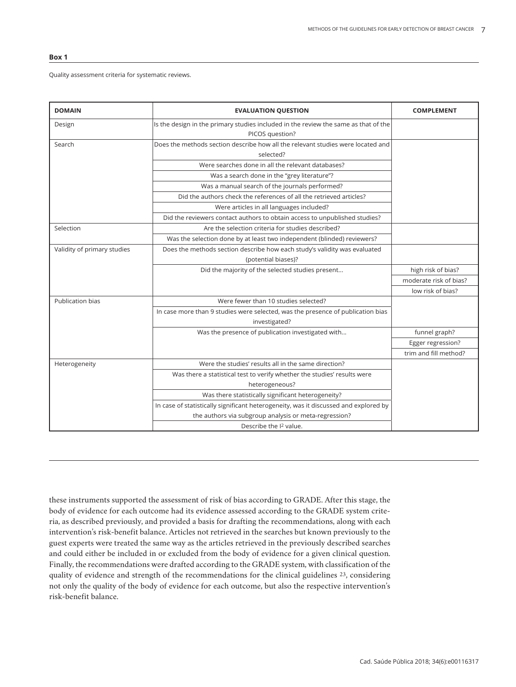#### **Box 1**

Quality assessment criteria for systematic reviews.

| <b>DOMAIN</b>               | <b>EVALUATION QUESTION</b>                                                                             | <b>COMPLEMENT</b>      |
|-----------------------------|--------------------------------------------------------------------------------------------------------|------------------------|
| Design                      | Is the design in the primary studies included in the review the same as that of the<br>PICOS question? |                        |
| Search                      | Does the methods section describe how all the relevant studies were located and<br>selected?           |                        |
|                             | Were searches done in all the relevant databases?                                                      |                        |
|                             | Was a search done in the "grey literature"?                                                            |                        |
|                             | Was a manual search of the journals performed?                                                         |                        |
|                             | Did the authors check the references of all the retrieved articles?                                    |                        |
|                             | Were articles in all languages included?                                                               |                        |
|                             | Did the reviewers contact authors to obtain access to unpublished studies?                             |                        |
| Selection                   | Are the selection criteria for studies described?                                                      |                        |
|                             | Was the selection done by at least two independent (blinded) reviewers?                                |                        |
| Validity of primary studies | Does the methods section describe how each study's validity was evaluated                              |                        |
|                             | (potential biases)?                                                                                    |                        |
|                             | Did the majority of the selected studies present                                                       | high risk of bias?     |
|                             |                                                                                                        | moderate risk of bias? |
|                             |                                                                                                        | low risk of bias?      |
| Publication bias            | Were fewer than 10 studies selected?                                                                   |                        |
|                             | In case more than 9 studies were selected, was the presence of publication bias                        |                        |
|                             | investigated?                                                                                          |                        |
|                             | Was the presence of publication investigated with                                                      | funnel graph?          |
|                             |                                                                                                        | Egger regression?      |
|                             |                                                                                                        | trim and fill method?  |
| Heterogeneity               | Were the studies' results all in the same direction?                                                   |                        |
|                             | Was there a statistical test to verify whether the studies' results were                               |                        |
|                             | heterogeneous?                                                                                         |                        |
|                             | Was there statistically significant heterogeneity?                                                     |                        |
|                             | In case of statistically significant heterogeneity, was it discussed and explored by                   |                        |
|                             | the authors via subgroup analysis or meta-regression?                                                  |                        |
|                             | Describe the I <sup>2</sup> value.                                                                     |                        |

these instruments supported the assessment of risk of bias according to GRADE. After this stage, the body of evidence for each outcome had its evidence assessed according to the GRADE system criteria, as described previously, and provided a basis for drafting the recommendations, along with each intervention's risk-benefit balance. Articles not retrieved in the searches but known previously to the guest experts were treated the same way as the articles retrieved in the previously described searches and could either be included in or excluded from the body of evidence for a given clinical question. Finally, the recommendations were drafted according to the GRADE system, with classification of the quality of evidence and strength of the recommendations for the clinical guidelines 23, considering not only the quality of the body of evidence for each outcome, but also the respective intervention's risk-benefit balance.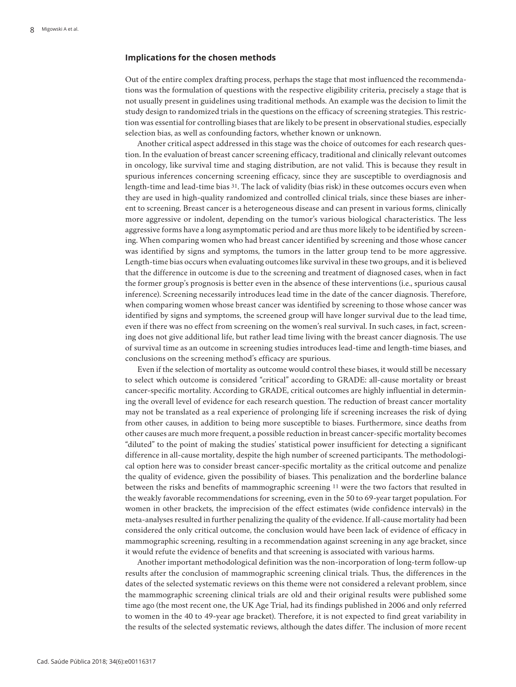#### **Implications for the chosen methods**

Out of the entire complex drafting process, perhaps the stage that most influenced the recommendations was the formulation of questions with the respective eligibility criteria, precisely a stage that is not usually present in guidelines using traditional methods. An example was the decision to limit the study design to randomized trials in the questions on the efficacy of screening strategies. This restriction was essential for controlling biases that are likely to be present in observational studies, especially selection bias, as well as confounding factors, whether known or unknown.

Another critical aspect addressed in this stage was the choice of outcomes for each research question. In the evaluation of breast cancer screening efficacy, traditional and clinically relevant outcomes in oncology, like survival time and staging distribution, are not valid. This is because they result in spurious inferences concerning screening efficacy, since they are susceptible to overdiagnosis and length-time and lead-time bias 31. The lack of validity (bias risk) in these outcomes occurs even when they are used in high-quality randomized and controlled clinical trials, since these biases are inherent to screening. Breast cancer is a heterogeneous disease and can present in various forms, clinically more aggressive or indolent, depending on the tumor's various biological characteristics. The less aggressive forms have a long asymptomatic period and are thus more likely to be identified by screening. When comparing women who had breast cancer identified by screening and those whose cancer was identified by signs and symptoms, the tumors in the latter group tend to be more aggressive. Length-time bias occurs when evaluating outcomes like survival in these two groups, and it is believed that the difference in outcome is due to the screening and treatment of diagnosed cases, when in fact the former group's prognosis is better even in the absence of these interventions (i.e., spurious causal inference). Screening necessarily introduces lead time in the date of the cancer diagnosis. Therefore, when comparing women whose breast cancer was identified by screening to those whose cancer was identified by signs and symptoms, the screened group will have longer survival due to the lead time, even if there was no effect from screening on the women's real survival. In such cases, in fact, screening does not give additional life, but rather lead time living with the breast cancer diagnosis. The use of survival time as an outcome in screening studies introduces lead-time and length-time biases, and conclusions on the screening method's efficacy are spurious.

Even if the selection of mortality as outcome would control these biases, it would still be necessary to select which outcome is considered "critical" according to GRADE: all-cause mortality or breast cancer-specific mortality. According to GRADE, critical outcomes are highly influential in determining the overall level of evidence for each research question. The reduction of breast cancer mortality may not be translated as a real experience of prolonging life if screening increases the risk of dying from other causes, in addition to being more susceptible to biases. Furthermore, since deaths from other causes are much more frequent, a possible reduction in breast cancer-specific mortality becomes "diluted" to the point of making the studies' statistical power insufficient for detecting a significant difference in all-cause mortality, despite the high number of screened participants. The methodological option here was to consider breast cancer-specific mortality as the critical outcome and penalize the quality of evidence, given the possibility of biases. This penalization and the borderline balance between the risks and benefits of mammographic screening 11 were the two factors that resulted in the weakly favorable recommendations for screening, even in the 50 to 69-year target population. For women in other brackets, the imprecision of the effect estimates (wide confidence intervals) in the meta-analyses resulted in further penalizing the quality of the evidence. If all-cause mortality had been considered the only critical outcome, the conclusion would have been lack of evidence of efficacy in mammographic screening, resulting in a recommendation against screening in any age bracket, since it would refute the evidence of benefits and that screening is associated with various harms.

Another important methodological definition was the non-incorporation of long-term follow-up results after the conclusion of mammographic screening clinical trials. Thus, the differences in the dates of the selected systematic reviews on this theme were not considered a relevant problem, since the mammographic screening clinical trials are old and their original results were published some time ago (the most recent one, the UK Age Trial, had its findings published in 2006 and only referred to women in the 40 to 49-year age bracket). Therefore, it is not expected to find great variability in the results of the selected systematic reviews, although the dates differ. The inclusion of more recent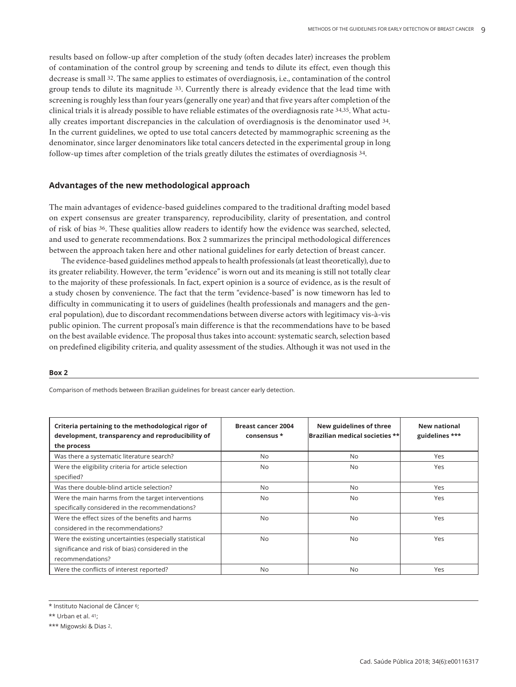results based on follow-up after completion of the study (often decades later) increases the problem of contamination of the control group by screening and tends to dilute its effect, even though this decrease is small 32. The same applies to estimates of overdiagnosis, i.e., contamination of the control group tends to dilute its magnitude 33. Currently there is already evidence that the lead time with screening is roughly less than four years (generally one year) and that five years after completion of the clinical trials it is already possible to have reliable estimates of the overdiagnosis rate 34,35. What actually creates important discrepancies in the calculation of overdiagnosis is the denominator used 34. In the current guidelines, we opted to use total cancers detected by mammographic screening as the denominator, since larger denominators like total cancers detected in the experimental group in long follow-up times after completion of the trials greatly dilutes the estimates of overdiagnosis 34.

### **Advantages of the new methodological approach**

The main advantages of evidence-based guidelines compared to the traditional drafting model based on expert consensus are greater transparency, reproducibility, clarity of presentation, and control of risk of bias 36. These qualities allow readers to identify how the evidence was searched, selected, and used to generate recommendations. Box 2 summarizes the principal methodological differences between the approach taken here and other national guidelines for early detection of breast cancer.

The evidence-based guidelines method appeals to health professionals (at least theoretically), due to its greater reliability. However, the term "evidence" is worn out and its meaning is still not totally clear to the majority of these professionals. In fact, expert opinion is a source of evidence, as is the result of a study chosen by convenience. The fact that the term "evidence-based" is now timeworn has led to difficulty in communicating it to users of guidelines (health professionals and managers and the general population), due to discordant recommendations between diverse actors with legitimacy vis-à-vis public opinion. The current proposal's main difference is that the recommendations have to be based on the best available evidence. The proposal thus takes into account: systematic search, selection based on predefined eligibility criteria, and quality assessment of the studies. Although it was not used in the

#### **Box 2**

Comparison of methods between Brazilian guidelines for breast cancer early detection.

| Criteria pertaining to the methodological rigor of<br>development, transparency and reproducibility of | <b>Breast cancer 2004</b><br>consensus * | New guidelines of three<br>Brazilian medical societies ** | <b>New national</b><br>guidelines *** |
|--------------------------------------------------------------------------------------------------------|------------------------------------------|-----------------------------------------------------------|---------------------------------------|
| the process                                                                                            |                                          |                                                           |                                       |
| Was there a systematic literature search?                                                              | <b>No</b>                                | <b>No</b>                                                 | Yes                                   |
| Were the eligibility criteria for article selection                                                    | <b>No</b>                                | <b>No</b>                                                 | Yes                                   |
| specified?                                                                                             |                                          |                                                           |                                       |
| Was there double-blind article selection?                                                              | <b>No</b>                                | <b>No</b>                                                 | Yes                                   |
| Were the main harms from the target interventions                                                      | <b>No</b>                                | <b>No</b>                                                 | Yes                                   |
| specifically considered in the recommendations?                                                        |                                          |                                                           |                                       |
| Were the effect sizes of the benefits and harms                                                        | N <sub>o</sub>                           | <b>No</b>                                                 | Yes                                   |
| considered in the recommendations?                                                                     |                                          |                                                           |                                       |
| Were the existing uncertainties (especially statistical                                                | N <sub>o</sub>                           | <b>No</b>                                                 | Yes                                   |
| significance and risk of bias) considered in the                                                       |                                          |                                                           |                                       |
| recommendations?                                                                                       |                                          |                                                           |                                       |
| Were the conflicts of interest reported?                                                               | <b>No</b>                                | <b>No</b>                                                 | Yes                                   |

<sup>\*</sup> Instituto Nacional de Câncer 6;

<sup>\*\*</sup> Urban et al. 41;

<sup>\*\*\*</sup> Migowski & Dias 2.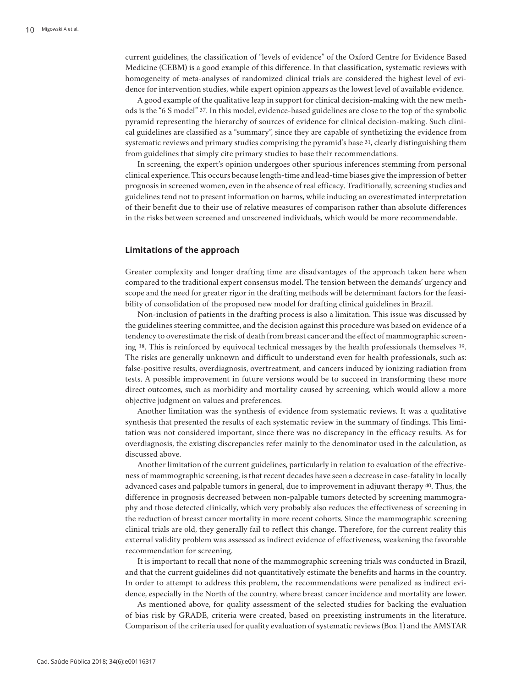current guidelines, the classification of "levels of evidence" of the Oxford Centre for Evidence Based Medicine (CEBM) is a good example of this difference. In that classification, systematic reviews with homogeneity of meta-analyses of randomized clinical trials are considered the highest level of evidence for intervention studies, while expert opinion appears as the lowest level of available evidence.

A good example of the qualitative leap in support for clinical decision-making with the new methods is the "6 S model" 37. In this model, evidence-based guidelines are close to the top of the symbolic pyramid representing the hierarchy of sources of evidence for clinical decision-making. Such clinical guidelines are classified as a "summary", since they are capable of synthetizing the evidence from systematic reviews and primary studies comprising the pyramid's base 31, clearly distinguishing them from guidelines that simply cite primary studies to base their recommendations.

In screening, the expert's opinion undergoes other spurious inferences stemming from personal clinical experience. This occurs because length-time and lead-time biases give the impression of better prognosis in screened women, even in the absence of real efficacy. Traditionally, screening studies and guidelines tend not to present information on harms, while inducing an overestimated interpretation of their benefit due to their use of relative measures of comparison rather than absolute differences in the risks between screened and unscreened individuals, which would be more recommendable.

### **Limitations of the approach**

Greater complexity and longer drafting time are disadvantages of the approach taken here when compared to the traditional expert consensus model. The tension between the demands' urgency and scope and the need for greater rigor in the drafting methods will be determinant factors for the feasibility of consolidation of the proposed new model for drafting clinical guidelines in Brazil.

Non-inclusion of patients in the drafting process is also a limitation. This issue was discussed by the guidelines steering committee, and the decision against this procedure was based on evidence of a tendency to overestimate the risk of death from breast cancer and the effect of mammographic screening 38. This is reinforced by equivocal technical messages by the health professionals themselves 39. The risks are generally unknown and difficult to understand even for health professionals, such as: false-positive results, overdiagnosis, overtreatment, and cancers induced by ionizing radiation from tests. A possible improvement in future versions would be to succeed in transforming these more direct outcomes, such as morbidity and mortality caused by screening, which would allow a more objective judgment on values and preferences.

Another limitation was the synthesis of evidence from systematic reviews. It was a qualitative synthesis that presented the results of each systematic review in the summary of findings. This limitation was not considered important, since there was no discrepancy in the efficacy results. As for overdiagnosis, the existing discrepancies refer mainly to the denominator used in the calculation, as discussed above.

Another limitation of the current guidelines, particularly in relation to evaluation of the effectiveness of mammographic screening, is that recent decades have seen a decrease in case-fatality in locally advanced cases and palpable tumors in general, due to improvement in adjuvant therapy 40. Thus, the difference in prognosis decreased between non-palpable tumors detected by screening mammography and those detected clinically, which very probably also reduces the effectiveness of screening in the reduction of breast cancer mortality in more recent cohorts. Since the mammographic screening clinical trials are old, they generally fail to reflect this change. Therefore, for the current reality this external validity problem was assessed as indirect evidence of effectiveness, weakening the favorable recommendation for screening.

It is important to recall that none of the mammographic screening trials was conducted in Brazil, and that the current guidelines did not quantitatively estimate the benefits and harms in the country. In order to attempt to address this problem, the recommendations were penalized as indirect evidence, especially in the North of the country, where breast cancer incidence and mortality are lower.

As mentioned above, for quality assessment of the selected studies for backing the evaluation of bias risk by GRADE, criteria were created, based on preexisting instruments in the literature. Comparison of the criteria used for quality evaluation of systematic reviews (Box 1) and the AMSTAR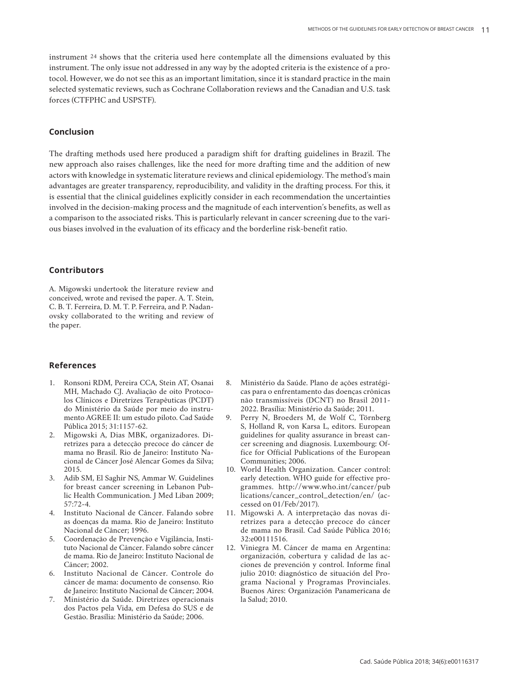instrument 24 shows that the criteria used here contemplate all the dimensions evaluated by this instrument. The only issue not addressed in any way by the adopted criteria is the existence of a protocol. However, we do not see this as an important limitation, since it is standard practice in the main selected systematic reviews, such as Cochrane Collaboration reviews and the Canadian and U.S. task forces (CTFPHC and USPSTF).

### **Conclusion**

The drafting methods used here produced a paradigm shift for drafting guidelines in Brazil. The new approach also raises challenges, like the need for more drafting time and the addition of new actors with knowledge in systematic literature reviews and clinical epidemiology. The method's main advantages are greater transparency, reproducibility, and validity in the drafting process. For this, it is essential that the clinical guidelines explicitly consider in each recommendation the uncertainties involved in the decision-making process and the magnitude of each intervention's benefits, as well as a comparison to the associated risks. This is particularly relevant in cancer screening due to the various biases involved in the evaluation of its efficacy and the borderline risk-benefit ratio.

### **Contributors**

A. Migowski undertook the literature review and conceived, wrote and revised the paper. A. T. Stein, C. B. T. Ferreira, D. M. T. P. Ferreira, and P. Nadanovsky collaborated to the writing and review of the paper.

#### **References**

- 1. Ronsoni RDM, Pereira CCA, Stein AT, Osanai MH, Machado CJ. Avaliação de oito Protocolos Clínicos e Diretrizes Terapêuticas (PCDT) do Ministério da Saúde por meio do instrumento AGREE II: um estudo piloto. Cad Saúde Pública 2015; 31:1157-62.
- 2. Migowski A, Dias MBK, organizadores. Diretrizes para a detecção precoce do câncer de mama no Brasil. Rio de Janeiro: Instituto Nacional de Câncer José Alencar Gomes da Silva; 2015.
- 3. Adib SM, El Saghir NS, Ammar W. Guidelines for breast cancer screening in Lebanon Public Health Communication. J Med Liban 2009; 57:72-4.
- 4. Instituto Nacional de Câncer. Falando sobre as doenças da mama. Rio de Janeiro: Instituto Nacional de Câncer; 1996.
- 5. Coordenação de Prevenção e Vigilância, Instituto Nacional de Câncer. Falando sobre câncer de mama. Rio de Janeiro: Instituto Nacional de Câncer; 2002.
- 6. Instituto Nacional de Câncer. Controle do câncer de mama: documento de consenso. Rio de Janeiro: Instituto Nacional de Câncer; 2004.
- 7. Ministério da Saúde. Diretrizes operacionais dos Pactos pela Vida, em Defesa do SUS e de Gestão. Brasília: Ministério da Saúde; 2006.
- 8. Ministério da Saúde. Plano de ações estratégicas para o enfrentamento das doenças crônicas não transmissíveis (DCNT) no Brasil 2011- 2022. Brasília: Ministério da Saúde; 2011.
- 9. Perry N, Broeders M, de Wolf C, Törnberg S, Holland R, von Karsa L, editors. European guidelines for quality assurance in breast cancer screening and diagnosis. Luxembourg: Office for Official Publications of the European Communities; 2006.
- 10. World Health Organization. Cancer control: early detection. WHO guide for effective programmes. http://www.who.int/cancer/pub lications/cancer\_control\_detection/en/ (accessed on 01/Feb/2017).
- 11. Migowski A. A interpretação das novas diretrizes para a detecção precoce do câncer de mama no Brasil. Cad Saúde Pública 2016; 32:e00111516.
- 12. Viniegra M. Cáncer de mama en Argentina: organización, cobertura y calidad de las acciones de prevención y control. Informe final julio 2010: diagnóstico de situación del Programa Nacional y Programas Provinciales. Buenos Aires: Organización Panamericana de la Salud; 2010.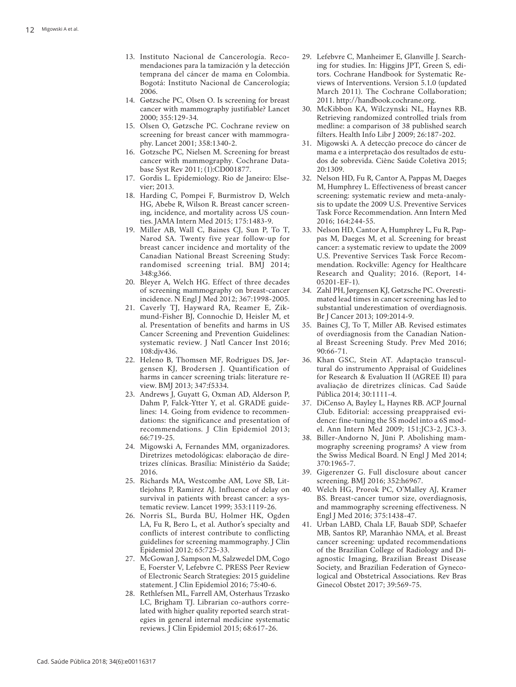- 13. Instituto Nacional de Cancerología. Reco mendaciones para la tamización y la detección temprana del cáncer de mama en Colombia. Bogotá: Instituto Nacional de Cancerología; 2006.
- 14. Gøtzsche PC, Olsen O. Is screening for breast cancer with mammography justifiable? Lancet 2000; 355:129-34.
- 15. Olsen O, Gøtzsche PC. Cochrane review on screening for breast cancer with mammogra phy. Lancet 2001; 358:1340-2.
- 16. Gotzsche PC, Nielsen M. Screening for breast cancer with mammography. Cochrane Data base Syst Rev 2011; (1):CD001877.
- 17. Gordis L. Epidemiology. Rio de Janeiro: Else vier; 2013.
- 18. Harding C, Pompei F, Burmistrov D, Welch HG, Abebe R, Wilson R. Breast cancer screen ing, incidence, and mortality across US coun ties. JAMA Intern Med 2015; 175:1483-9.
- 19. Miller AB, Wall C, Baines CJ, Sun P, To T, Narod SA. Twenty five year follow-up for breast cancer incidence and mortality of the Canadian National Breast Screening Study: randomised screening trial. BMJ 2014; 348:g366.
- 20. Bleyer A, Welch HG. Effect of three decades of screening mammography on breast-cancer incidence. N Engl J Med 2012; 367:1998-2005.
- 21. Caverly TJ, Hayward RA, Reamer E, Zik mund-Fisher BJ, Connochie D, Heisler M, et al. Presentation of benefits and harms in US Cancer Screening and Prevention Guidelines: systematic review. J Natl Cancer Inst 2016; 108:djv436.
- 22. Heleno B, Thomsen MF, Rodrigues DS, Jør gensen KJ, Brodersen J. Quantification of harms in cancer screening trials: literature re view. BMJ 2013; 347:f5334.
- 23. Andrews J, Guyatt G, Oxman AD, Alderson P, Dahm P, Falck-Ytter Y, et al. GRADE guide lines: 14. Going from evidence to recommen dations: the significance and presentation of recommendations. J Clin Epidemiol 2013; 66:719-25.
- 24. Migowski A, Fernandes MM, organizadores. Diretrizes metodológicas: elaboração de dire trizes clínicas. Brasília: Ministério da Saúde; 2016.
- 25. Richards MA, Westcombe AM, Love SB, Lit tlejohns P, Ramirez AJ. Influence of delay on survival in patients with breast cancer: a sys tematic review. Lancet 1999; 353:1119-26.
- 26. Norris SL, Burda BU, Holmer HK, Ogden LA, Fu R, Bero L, et al. Author's specialty and conflicts of interest contribute to conflicting guidelines for screening mammography. J Clin Epidemiol 2012; 65:725-33.
- 27. McGowan J, Sampson M, Salzwedel DM, Cogo E, Foerster V, Lefebvre C. PRESS Peer Review of Electronic Search Strategies: 2015 guideline statement. J Clin Epidemiol 2016; 75:40-6.
- 28. Rethlefsen ML, Farrell AM, Osterhaus Trzasko LC, Brigham TJ. Librarian co-authors corre lated with higher quality reported search strat egies in general internal medicine systematic reviews. J Clin Epidemiol 2015; 68:617-26.
- 29. Lefebvre C, Manheimer E, Glanville J. Search ing for studies. In: Higgins JPT, Green S, edi tors. Cochrane Handbook for Systematic Re views of Interventions. Version 5.1.0 (updated March 2011). The Cochrane Collaboration; 2011. http://handbook.cochrane.org.
- 30. McKibbon KA, Wilczynski NL, Haynes RB. Retrieving randomized controlled trials from medline: a comparison of 38 published search filters. Health Info Libr J 2009; 26:187-202.
- 31. Migowski A. A detecção precoce do câncer de mama e a interpretação dos resultados de estu dos de sobrevida. Ciênc Saúde Coletiva 2015; 20:1309.
- 32. Nelson HD, Fu R, Cantor A, Pappas M, Daeges M, Humphrey L. Effectiveness of breast cancer screening: systematic review and meta-analy sis to update the 2009 U.S. Preventive Services Task Force Recommendation. Ann Intern Med 2016; 164:244-55.
- 33. Nelson HD, Cantor A, Humphrey L, Fu R, Pap pas M, Daeges M, et al. Screening for breast cancer: a systematic review to update the 2009 U.S. Preventive Services Task Force Recom mendation. Rockville: Agency for Healthcare Research and Quality; 2016. (Report, 14- 05201-EF-1).
- 34. Zahl PH, Jørgensen KJ, Gøtzsche PC. Overesti mated lead times in cancer screening has led to substantial underestimation of overdiagnosis. Br J Cancer 2013; 109:2014-9.
- 35. Baines CJ, To T, Miller AB. Revised estimates of overdiagnosis from the Canadian Nation al Breast Screening Study. Prev Med 2016;  $90.66 - 71$
- 36. Khan GSC, Stein AT. Adaptação transcul tural do instrumento Appraisal of Guidelines for Research & Evaluation II (AGREE II) para avaliação de diretrizes clínicas. Cad Saúde Pública 2014; 30:1111-4.
- 37. DiCenso A, Bayley L, Haynes RB. ACP Journal Club. Editorial: accessing preappraised evi dence: fine-tuning the 5S model into a 6S mod el. Ann Intern Med 2009; 151:JC3-2, JC3-3.
- 38. Biller-Andorno N, Jüni P. Abolishing mam mography screening programs? A view from the Swiss Medical Board. N Engl J Med 2014; 370:1965-7.
- 39. Gigerenzer G. Full disclosure about cancer screening. BMJ 2016; 352:h6967.
- 40. Welch HG, Prorok PC, O'Malley AJ, Kramer BS. Breast-cancer tumor size, overdiagnosis, and mammography screening effectiveness. N Engl J Med 2016; 375:1438-47.
- 41. Urban LABD, Chala LF, Bauab SDP, Schaefer MB, Santos RP, Maranhão NMA, et al. Breast cancer screening: updated recommendations of the Brazilian College of Radiology and Di agnostic Imaging, Brazilian Breast Disease Society, and Brazilian Federation of Gyneco logical and Obstetrical Associations. Rev Bras Ginecol Obstet 2017; 39:569-75.